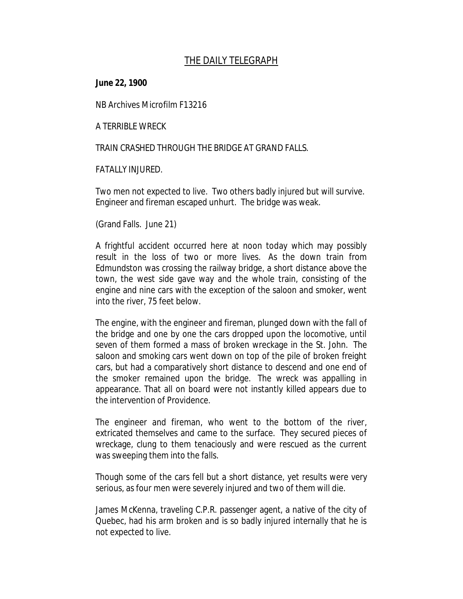## *THE DAILY TELEGRAPH*

**June 22, 1900**

NB Archives Microfilm F13216

A TERRIBLE WRECK

TRAIN CRASHED THROUGH THE BRIDGE AT GRAND FALLS.

FATALLY INJURED.

Two men not expected to live. Two others badly injured but will survive. Engineer and fireman escaped unhurt. The bridge was weak.

(Grand Falls. June 21)

A frightful accident occurred here at noon today which may possibly result in the loss of two or more lives. As the down train from Edmundston was crossing the railway bridge, a short distance above the town, the west side gave way and the whole train, consisting of the engine and nine cars with the exception of the saloon and smoker, went into the river, 75 feet below.

The engine, with the engineer and fireman, plunged down with the fall of the bridge and one by one the cars dropped upon the locomotive, until seven of them formed a mass of broken wreckage in the St. John. The saloon and smoking cars went down on top of the pile of broken freight cars, but had a comparatively short distance to descend and one end of the smoker remained upon the bridge. The wreck was appalling in appearance. That all on board were not instantly killed appears due to the intervention of Providence.

The engineer and fireman, who went to the bottom of the river, extricated themselves and came to the surface. They secured pieces of wreckage, clung to them tenaciously and were rescued as the current was sweeping them into the falls.

Though some of the cars fell but a short distance, yet results were very serious, as four men were severely injured and two of them will die.

James McKenna, traveling C.P.R. passenger agent, a native of the city of Quebec, had his arm broken and is so badly injured internally that he is not expected to live.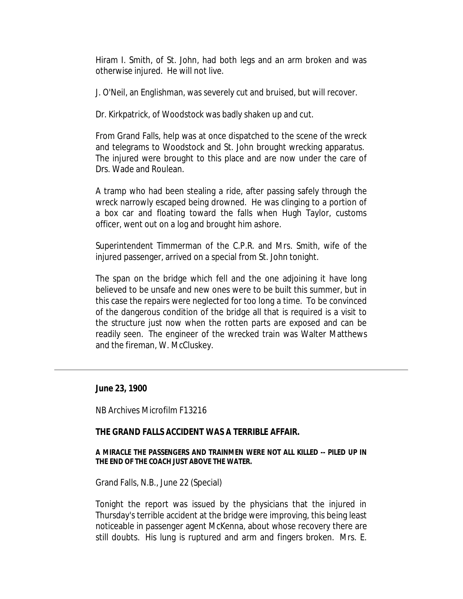Hiram I. Smith, of St. John, had both legs and an arm broken and was otherwise injured. He will not live.

J. O'Neil, an Englishman, was severely cut and bruised, but will recover.

Dr. Kirkpatrick, of Woodstock was badly shaken up and cut.

From Grand Falls, help was at once dispatched to the scene of the wreck and telegrams to Woodstock and St. John brought wrecking apparatus. The injured were brought to this place and are now under the care of Drs. Wade and Roulean.

A tramp who had been stealing a ride, after passing safely through the wreck narrowly escaped being drowned. He was clinging to a portion of a box car and floating toward the falls when Hugh Taylor, customs officer, went out on a log and brought him ashore.

Superintendent Timmerman of the C.P.R. and Mrs. Smith, wife of the injured passenger, arrived on a special from St. John tonight.

The span on the bridge which fell and the one adjoining it have long believed to be unsafe and new ones were to be built this summer, but in this case the repairs were neglected for too long a time. To be convinced of the dangerous condition of the bridge all that is required is a visit to the structure just now when the rotten parts are exposed and can be readily seen. The engineer of the wrecked train was Walter Matthews and the fireman, W. McCluskey.

**June 23, 1900**

NB Archives Microfilm F13216

## *THE GRAND FALLS ACCIDENT WAS A TERRIBLE AFFAIR.*

*A MIRACLE THE PASSENGERS AND TRAINMEN WERE NOT ALL KILLED -- PILED UP IN THE END OF THE COACH JUST ABOVE THE WATER.*

Grand Falls, N.B., June 22 (Special)

Tonight the report was issued by the physicians that the injured in Thursday's terrible accident at the bridge were improving, this being least noticeable in passenger agent McKenna, about whose recovery there are still doubts. His lung is ruptured and arm and fingers broken. Mrs. E.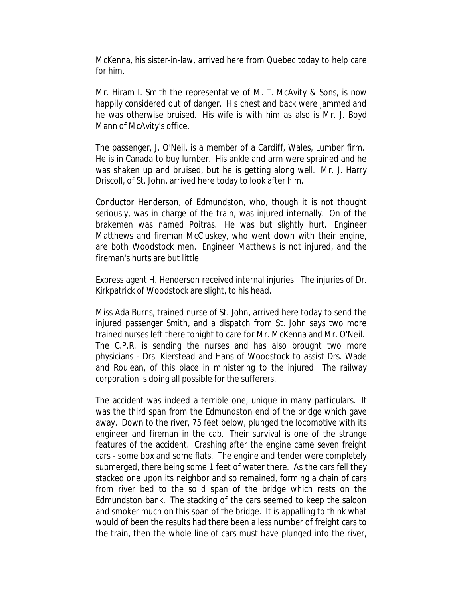McKenna, his sister-in-law, arrived here from Quebec today to help care for him.

Mr. Hiram I. Smith the representative of M. T. McAvity & Sons, is now happily considered out of danger. His chest and back were jammed and he was otherwise bruised. His wife is with him as also is Mr. J. Boyd Mann of McAvity's office.

The passenger, J. O'Neil, is a member of a Cardiff, Wales, Lumber firm. He is in Canada to buy lumber. His ankle and arm were sprained and he was shaken up and bruised, but he is getting along well. Mr. J. Harry Driscoll, of St. John, arrived here today to look after him.

Conductor Henderson, of Edmundston, who, though it is not thought seriously, was in charge of the train, was injured internally. On of the brakemen was named Poitras. He was but slightly hurt. Engineer Matthews and fireman McCluskey, who went down with their engine, are both Woodstock men. Engineer Matthews is not injured, and the fireman's hurts are but little.

Express agent H. Henderson received internal injuries. The injuries of Dr. Kirkpatrick of Woodstock are slight, to his head.

Miss Ada Burns, trained nurse of St. John, arrived here today to send the injured passenger Smith, and a dispatch from St. John says two more trained nurses left there tonight to care for Mr. McKenna and Mr. O'Neil. The C.P.R. is sending the nurses and has also brought two more physicians - Drs. Kierstead and Hans of Woodstock to assist Drs. Wade and Roulean, of this place in ministering to the injured. The railway corporation is doing all possible for the sufferers.

The accident was indeed a terrible one, unique in many particulars. It was the third span from the Edmundston end of the bridge which gave away. Down to the river, 75 feet below, plunged the locomotive with its engineer and fireman in the cab. Their survival is one of the strange features of the accident. Crashing after the engine came seven freight cars - some box and some flats. The engine and tender were completely submerged, there being some 1 feet of water there. As the cars fell they stacked one upon its neighbor and so remained, forming a chain of cars from river bed to the solid span of the bridge which rests on the Edmundston bank. The stacking of the cars seemed to keep the saloon and smoker much on this span of the bridge. It is appalling to think what would of been the results had there been a less number of freight cars to the train, then the whole line of cars must have plunged into the river,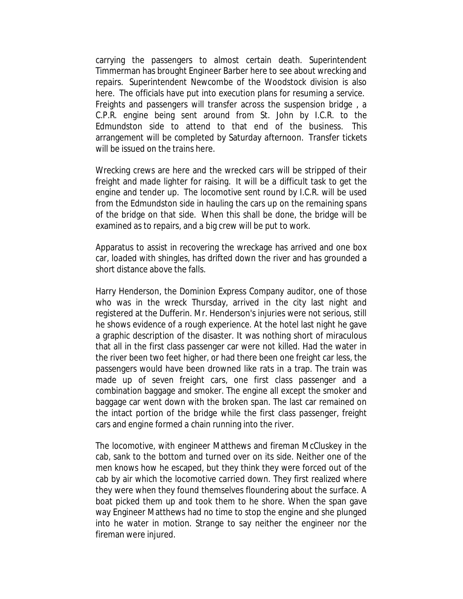carrying the passengers to almost certain death. Superintendent Timmerman has brought Engineer Barber here to see about wrecking and repairs. Superintendent Newcombe of the Woodstock division is also here. The officials have put into execution plans for resuming a service. Freights and passengers will transfer across the suspension bridge , a C.P.R. engine being sent around from St. John by I.C.R. to the Edmundston side to attend to that end of the business. This arrangement will be completed by Saturday afternoon. Transfer tickets will be issued on the trains here.

Wrecking crews are here and the wrecked cars will be stripped of their freight and made lighter for raising. It will be a difficult task to get the engine and tender up. The locomotive sent round by I.C.R. will be used from the Edmundston side in hauling the cars up on the remaining spans of the bridge on that side. When this shall be done, the bridge will be examined as to repairs, and a big crew will be put to work.

Apparatus to assist in recovering the wreckage has arrived and one box car, loaded with shingles, has drifted down the river and has grounded a short distance above the falls.

Harry Henderson, the Dominion Express Company auditor, one of those who was in the wreck Thursday, arrived in the city last night and registered at the Dufferin. Mr. Henderson's injuries were not serious, still he shows evidence of a rough experience. At the hotel last night he gave a graphic description of the disaster. It was nothing short of miraculous that all in the first class passenger car were not killed. Had the water in the river been two feet higher, or had there been one freight car less, the passengers would have been drowned like rats in a trap. The train was made up of seven freight cars, one first class passenger and a combination baggage and smoker. The engine all except the smoker and baggage car went down with the broken span. The last car remained on the intact portion of the bridge while the first class passenger, freight cars and engine formed a chain running into the river.

The locomotive, with engineer Matthews and fireman McCluskey in the cab, sank to the bottom and turned over on its side. Neither one of the men knows how he escaped, but they think they were forced out of the cab by air which the locomotive carried down. They first realized where they were when they found themselves floundering about the surface. A boat picked them up and took them to he shore. When the span gave way Engineer Matthews had no time to stop the engine and she plunged into he water in motion. Strange to say neither the engineer nor the fireman were injured.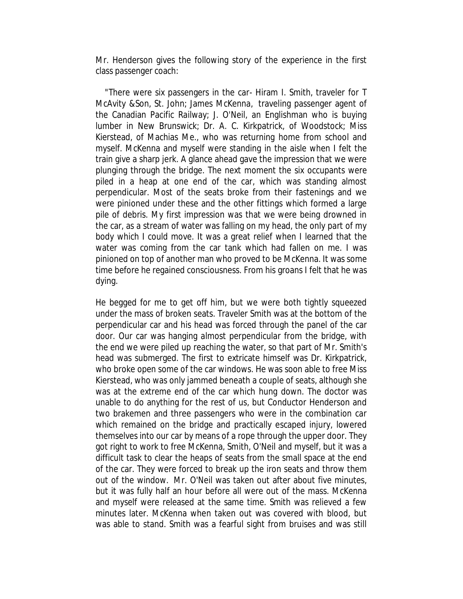Mr. Henderson gives the following story of the experience in the first class passenger coach:

 "There were six passengers in the car- Hiram I. Smith, traveler for T McAvity &Son, St. John; James McKenna, traveling passenger agent of the Canadian Pacific Railway; J. O'Neil, an Englishman who is buying lumber in New Brunswick; Dr. A. C. Kirkpatrick, of Woodstock; Miss Kierstead, of Machias Me., who was returning home from school and myself. McKenna and myself were standing in the aisle when I felt the train give a sharp jerk. A glance ahead gave the impression that we were plunging through the bridge. The next moment the six occupants were piled in a heap at one end of the car, which was standing almost perpendicular. Most of the seats broke from their fastenings and we were pinioned under these and the other fittings which formed a large pile of debris. My first impression was that we were being drowned in the car, as a stream of water was falling on my head, the only part of my body which I could move. It was a great relief when I learned that the water was coming from the car tank which had fallen on me. I was pinioned on top of another man who proved to be McKenna. It was some time before he regained consciousness. From his groans I felt that he was dying.

He begged for me to get off him, but we were both tightly squeezed under the mass of broken seats. Traveler Smith was at the bottom of the perpendicular car and his head was forced through the panel of the car door. Our car was hanging almost perpendicular from the bridge, with the end we were piled up reaching the water, so that part of Mr. Smith's head was submerged. The first to extricate himself was Dr. Kirkpatrick, who broke open some of the car windows. He was soon able to free Miss Kierstead, who was only jammed beneath a couple of seats, although she was at the extreme end of the car which hung down. The doctor was unable to do anything for the rest of us, but Conductor Henderson and two brakemen and three passengers who were in the combination car which remained on the bridge and practically escaped injury, lowered themselves into our car by means of a rope through the upper door. They got right to work to free McKenna, Smith, O'Neil and myself, but it was a difficult task to clear the heaps of seats from the small space at the end of the car. They were forced to break up the iron seats and throw them out of the window. Mr. O'Neil was taken out after about five minutes, but it was fully half an hour before all were out of the mass. McKenna and myself were released at the same time. Smith was relieved a few minutes later. McKenna when taken out was covered with blood, but was able to stand. Smith was a fearful sight from bruises and was still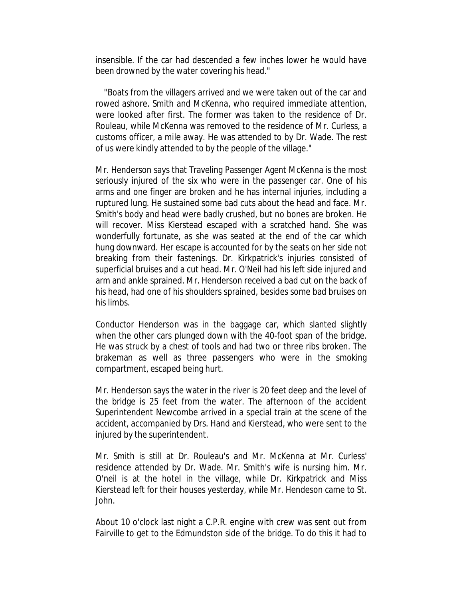insensible. If the car had descended a few inches lower he would have been drowned by the water covering his head."

 "Boats from the villagers arrived and we were taken out of the car and rowed ashore. Smith and McKenna, who required immediate attention, were looked after first. The former was taken to the residence of Dr. Rouleau, while McKenna was removed to the residence of Mr. Curless, a customs officer, a mile away. He was attended to by Dr. Wade. The rest of us were kindly attended to by the people of the village."

Mr. Henderson says that Traveling Passenger Agent McKenna is the most seriously injured of the six who were in the passenger car. One of his arms and one finger are broken and he has internal injuries, including a ruptured lung. He sustained some bad cuts about the head and face. Mr. Smith's body and head were badly crushed, but no bones are broken. He will recover. Miss Kierstead escaped with a scratched hand. She was wonderfully fortunate, as she was seated at the end of the car which hung downward. Her escape is accounted for by the seats on her side not breaking from their fastenings. Dr. Kirkpatrick's injuries consisted of superficial bruises and a cut head. Mr. O'Neil had his left side injured and arm and ankle sprained. Mr. Henderson received a bad cut on the back of his head, had one of his shoulders sprained, besides some bad bruises on his limbs.

Conductor Henderson was in the baggage car, which slanted slightly when the other cars plunged down with the 40-foot span of the bridge. He was struck by a chest of tools and had two or three ribs broken. The brakeman as well as three passengers who were in the smoking compartment, escaped being hurt.

Mr. Henderson says the water in the river is 20 feet deep and the level of the bridge is 25 feet from the water. The afternoon of the accident Superintendent Newcombe arrived in a special train at the scene of the accident, accompanied by Drs. Hand and Kierstead, who were sent to the injured by the superintendent.

Mr. Smith is still at Dr. Rouleau's and Mr. McKenna at Mr. Curless' residence attended by Dr. Wade. Mr. Smith's wife is nursing him. Mr. O'neil is at the hotel in the village, while Dr. Kirkpatrick and Miss Kierstead left for their houses yesterday, while Mr. Hendeson came to St. John.

About 10 o'clock last night a C.P.R. engine with crew was sent out from Fairville to get to the Edmundston side of the bridge. To do this it had to